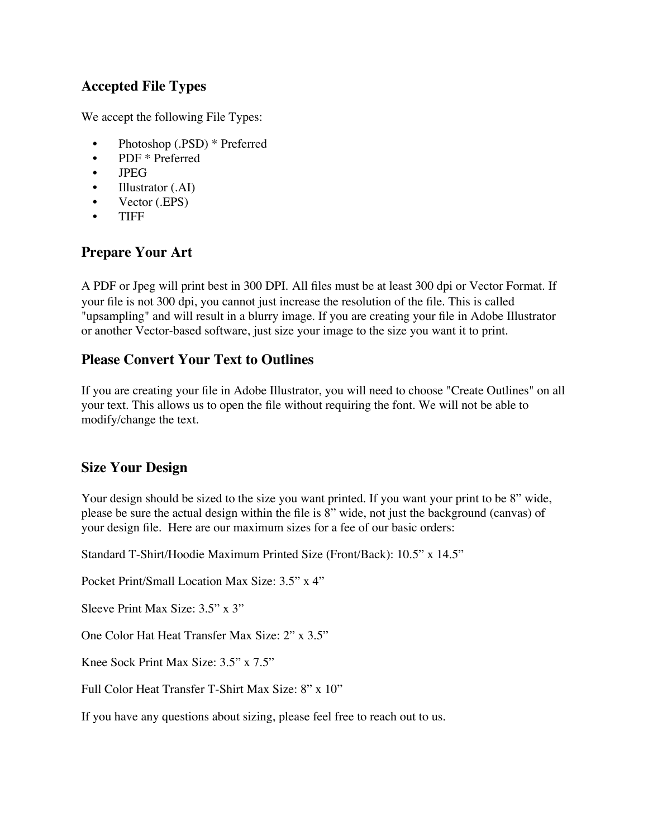### **Accepted File Types**

We accept the following File Types:

- Photoshop (.PSD) \* Preferred
- PDF \* Preferred
- JPEG
- Illustrator (.AI)
- Vector (.EPS)
- TIFF

### **Prepare Your Art**

A PDF or Jpeg will print best in 300 DPI. All files must be at least 300 dpi or Vector Format. If your file is not 300 dpi, you cannot just increase the resolution of the file. This is called "upsampling" and will result in a blurry image. If you are creating your file in Adobe Illustrator or another Vector-based software, just size your image to the size you want it to print.

#### **Please Convert Your Text to Outlines**

If you are creating your file in Adobe Illustrator, you will need to choose "Create Outlines" on all your text. This allows us to open the file without requiring the font. We will not be able to modify/change the text.

### **Size Your Design**

Your design should be sized to the size you want printed. If you want your print to be 8" wide, please be sure the actual design within the file is 8" wide, not just the background (canvas) of your design file. Here are our maximum sizes for a fee of our basic orders:

Standard T-Shirt/Hoodie Maximum Printed Size (Front/Back): 10.5" x 14.5"

Pocket Print/Small Location Max Size: 3.5" x 4"

Sleeve Print Max Size: 3.5" x 3"

One Color Hat Heat Transfer Max Size: 2" x 3.5"

Knee Sock Print Max Size: 3.5" x 7.5"

Full Color Heat Transfer T-Shirt Max Size: 8" x 10"

If you have any questions about sizing, please feel free to reach out to us.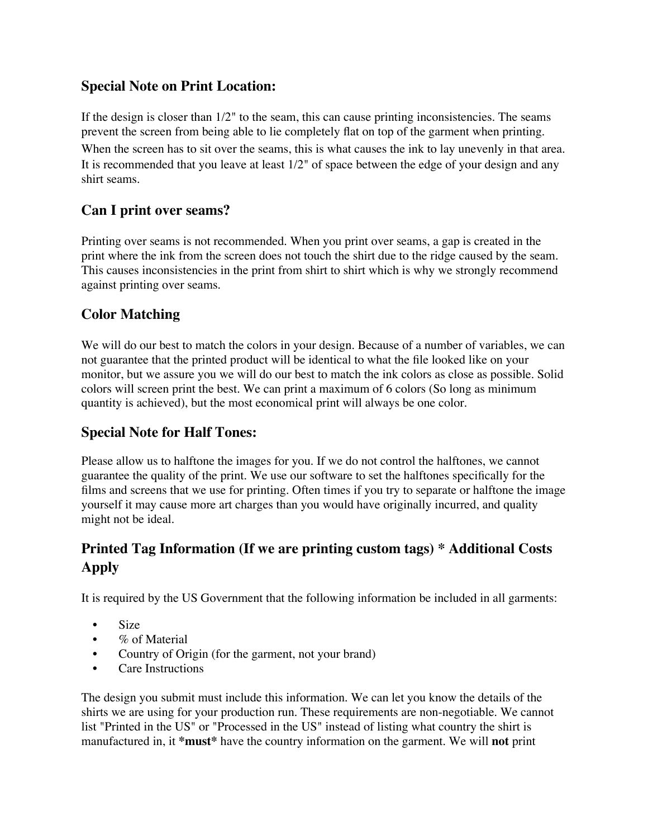### **Special Note on Print Location:**

If the design is closer than  $1/2$ " to the seam, this can cause printing inconsistencies. The seams prevent the screen from being able to lie completely flat on top of the garment when printing.

When the screen has to sit over the seams, this is what causes the ink to lay unevenly in that area. It is recommended that you leave at least 1/2" of space between the edge of your design and any shirt seams.

## **Can I print over seams?**

Printing over seams is not recommended. When you print over seams, a gap is created in the print where the ink from the screen does not touch the shirt due to the ridge caused by the seam. This causes inconsistencies in the print from shirt to shirt which is why we strongly recommend against printing over seams.

# **Color Matching**

We will do our best to match the colors in your design. Because of a number of variables, we can not guarantee that the printed product will be identical to what the file looked like on your monitor, but we assure you we will do our best to match the ink colors as close as possible. Solid colors will screen print the best. We can print a maximum of 6 colors (So long as minimum quantity is achieved), but the most economical print will always be one color.

# **Special Note for Half Tones:**

Please allow us to halftone the images for you. If we do not control the halftones, we cannot guarantee the quality of the print. We use our software to set the halftones specifically for the films and screens that we use for printing. Often times if you try to separate or halftone the image yourself it may cause more art charges than you would have originally incurred, and quality might not be ideal.

# **Printed Tag Information (If we are printing custom tags) \* Additional Costs Apply**

It is required by the US Government that the following information be included in all garments:

- Size
- % of Material
- Country of Origin (for the garment, not your brand)
- Care Instructions

The design you submit must include this information. We can let you know the details of the shirts we are using for your production run. These requirements are non-negotiable. We cannot list "Printed in the US" or "Processed in the US" instead of listing what country the shirt is manufactured in, it **\*must\*** have the country information on the garment. We will **not** print